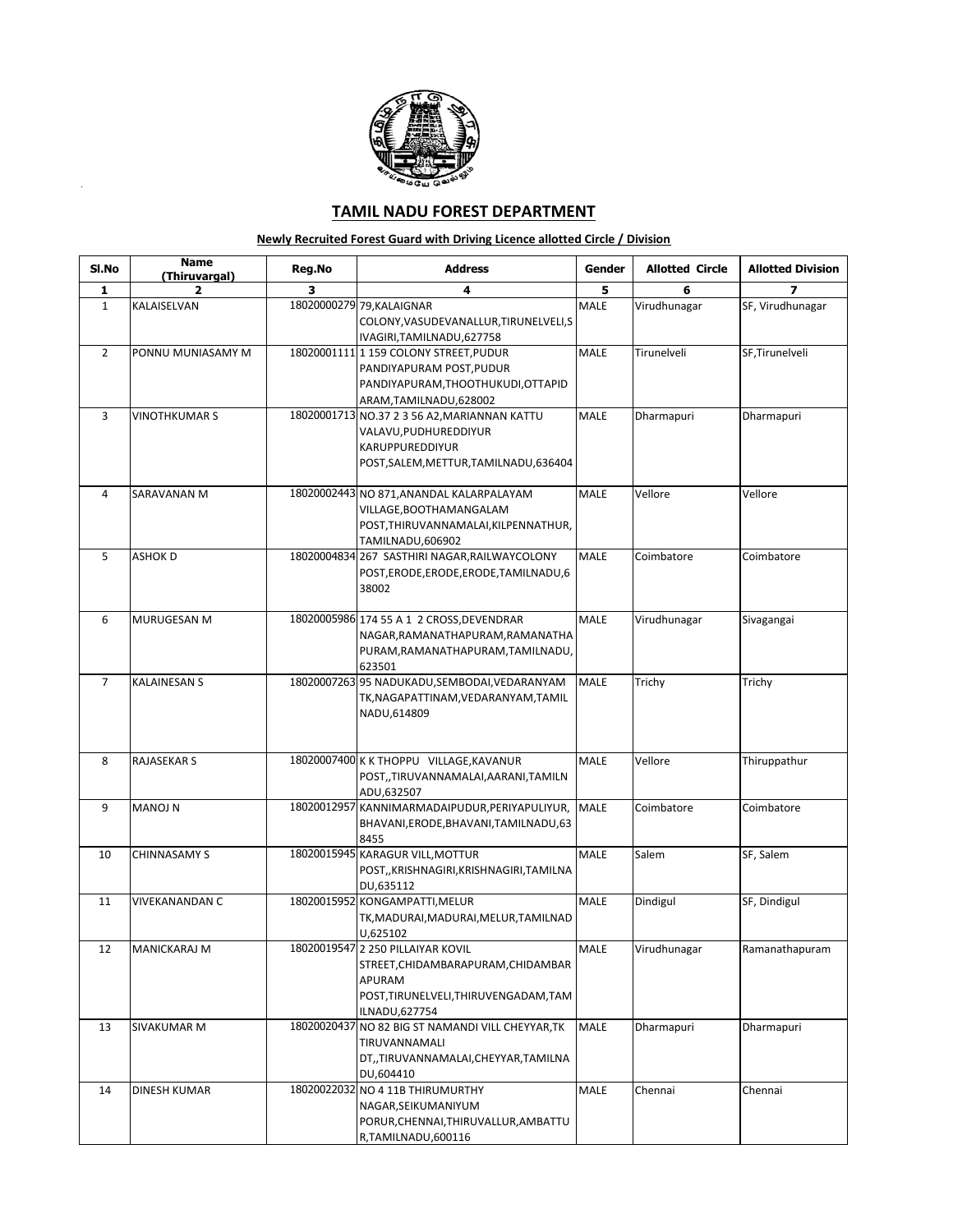

J.

## **TAMIL NADU FOREST DEPARTMENT**

## **Newly Recruited Forest Guard with Driving Licence allotted Circle / Division**

| SI.No          | <b>Name</b><br>(Thiruvargal) | Reg.No | <b>Address</b>                                                        | Gender      | <b>Allotted Circle</b> | <b>Allotted Division</b> |
|----------------|------------------------------|--------|-----------------------------------------------------------------------|-------------|------------------------|--------------------------|
| 1              | 2                            | з      | 4                                                                     | 5           | 6                      | 7                        |
| $\mathbf{1}$   | KALAISELVAN                  |        | 18020000279 79, KALAIGNAR                                             | <b>MALE</b> | Virudhunagar           | SF, Virudhunagar         |
|                |                              |        | COLONY, VASUDEVANALLUR, TIRUNELVELI, S                                |             |                        |                          |
|                |                              |        | IVAGIRI, TAMILNADU, 627758                                            |             |                        |                          |
| $\overline{2}$ | PONNU MUNIASAMY M            |        | 18020001111 159 COLONY STREET, PUDUR                                  | MALE        | Tirunelveli            | SF,Tirunelveli           |
|                |                              |        | PANDIYAPURAM POST, PUDUR                                              |             |                        |                          |
|                |                              |        | PANDIYAPURAM, THOOTHUKUDI, OTTAPID                                    |             |                        |                          |
|                |                              |        | ARAM, TAMILNADU, 628002                                               |             |                        |                          |
| 3              | <b>VINOTHKUMAR S</b>         |        | 18020001713 NO.37 2 3 56 A2, MARIANNAN KATTU                          | <b>MALE</b> | Dharmapuri             | Dharmapuri               |
|                |                              |        | VALAVU, PUDHUREDDIYUR                                                 |             |                        |                          |
|                |                              |        | KARUPPUREDDIYUR<br>POST, SALEM, METTUR, TAMILNADU, 636404             |             |                        |                          |
|                |                              |        |                                                                       |             |                        |                          |
| 4              | SARAVANAN M                  |        | 18020002443 NO 871, ANANDAL KALARPALAYAM                              | <b>MALE</b> | Vellore                | Vellore                  |
|                |                              |        | VILLAGE, BOOTHAMANGALAM                                               |             |                        |                          |
|                |                              |        | POST, THIRUVANNAMALAI, KILPENNATHUR,                                  |             |                        |                          |
|                |                              |        | TAMILNADU,606902                                                      |             |                        |                          |
| 5              | ASHOK D                      |        | 18020004834 267 SASTHIRI NAGAR, RAILWAYCOLONY                         | MALE        | Coimbatore             | Coimbatore               |
|                |                              |        | POST, ERODE, ERODE, ERODE, TAMILNADU, 6                               |             |                        |                          |
|                |                              |        | 38002                                                                 |             |                        |                          |
|                |                              |        |                                                                       |             |                        |                          |
| 6              | MURUGESAN M                  |        | 18020005986 174 55 A 1 2 CROSS, DEVENDRAR                             | <b>MALE</b> | Virudhunagar           | Sivagangai               |
|                |                              |        | NAGAR, RAMANATHAPURAM, RAMANATHA<br>PURAM, RAMANATHAPURAM, TAMILNADU, |             |                        |                          |
|                |                              |        | 623501                                                                |             |                        |                          |
| $\overline{7}$ | <b>KALAINESAN S</b>          |        | 18020007263 95 NADUKADU, SEMBODAI, VEDARANYAM                         | MALE        | Trichy                 | Trichy                   |
|                |                              |        | TK, NAGAPATTINAM, VEDARANYAM, TAMIL                                   |             |                        |                          |
|                |                              |        | NADU,614809                                                           |             |                        |                          |
|                |                              |        |                                                                       |             |                        |                          |
|                |                              |        |                                                                       |             |                        |                          |
| 8              | <b>RAJASEKAR S</b>           |        | 18020007400 K K THOPPU VILLAGE, KAVANUR                               | MALE        | Vellore                | Thiruppathur             |
|                |                              |        | POST,,TIRUVANNAMALAI,AARANI,TAMILN                                    |             |                        |                          |
| 9              | <b>MANOJ N</b>               |        | ADU,632507<br>18020012957 KANNIMARMADAIPUDUR, PERIYAPULIYUR,          | <b>MALE</b> | Coimbatore             | Coimbatore               |
|                |                              |        | BHAVANI, ERODE, BHAVANI, TAMILNADU, 63                                |             |                        |                          |
|                |                              |        | 8455                                                                  |             |                        |                          |
| 10             | CHINNASAMY S                 |        | 18020015945 KARAGUR VILL, MOTTUR                                      | MALE        | Salem                  | SF, Salem                |
|                |                              |        | POST,, KRISHNAGIRI, KRISHNAGIRI, TAMILNA                              |             |                        |                          |
|                |                              |        | DU,635112                                                             |             |                        |                          |
| 11             | <b>VIVEKANANDAN C</b>        |        | 18020015952 KONGAMPATTI, MELUR                                        | MALE        | Dindigul               | SF, Dindigul             |
|                |                              |        | TK,MADURAI,MADURAI,MELUR,TAMILNAD                                     |             |                        |                          |
|                |                              |        | U,625102                                                              |             |                        |                          |
| 12             | MANICKARAJ M                 |        | 18020019547 2 250 PILLAIYAR KOVIL                                     | MALE        | Virudhunagar           | Ramanathapuram           |
|                |                              |        | STREET, CHIDAMBARAPURAM, CHIDAMBAR                                    |             |                        |                          |
|                |                              |        | APURAM<br>POST, TIRUNELVELI, THIRUVENGADAM, TAM                       |             |                        |                          |
|                |                              |        | ILNADU, 627754                                                        |             |                        |                          |
| 13             | SIVAKUMAR M                  |        | 18020020437 NO 82 BIG ST NAMANDI VILL CHEYYAR, TK                     | <b>MALE</b> | Dharmapuri             | Dharmapuri               |
|                |                              |        | TIRUVANNAMALI                                                         |             |                        |                          |
|                |                              |        | DT,,TIRUVANNAMALAI,CHEYYAR,TAMILNA                                    |             |                        |                          |
|                |                              |        | DU.604410                                                             |             |                        |                          |
| 14             | DINESH KUMAR                 |        | 18020022032 NO 4 11B THIRUMURTHY                                      | MALE        | Chennai                | Chennai                  |
|                |                              |        | NAGAR, SEIKUMANIYUM                                                   |             |                        |                          |
|                |                              |        | PORUR, CHENNAI, THIRUVALLUR, AMBATTU                                  |             |                        |                          |
|                |                              |        | R,TAMILNADU,600116                                                    |             |                        |                          |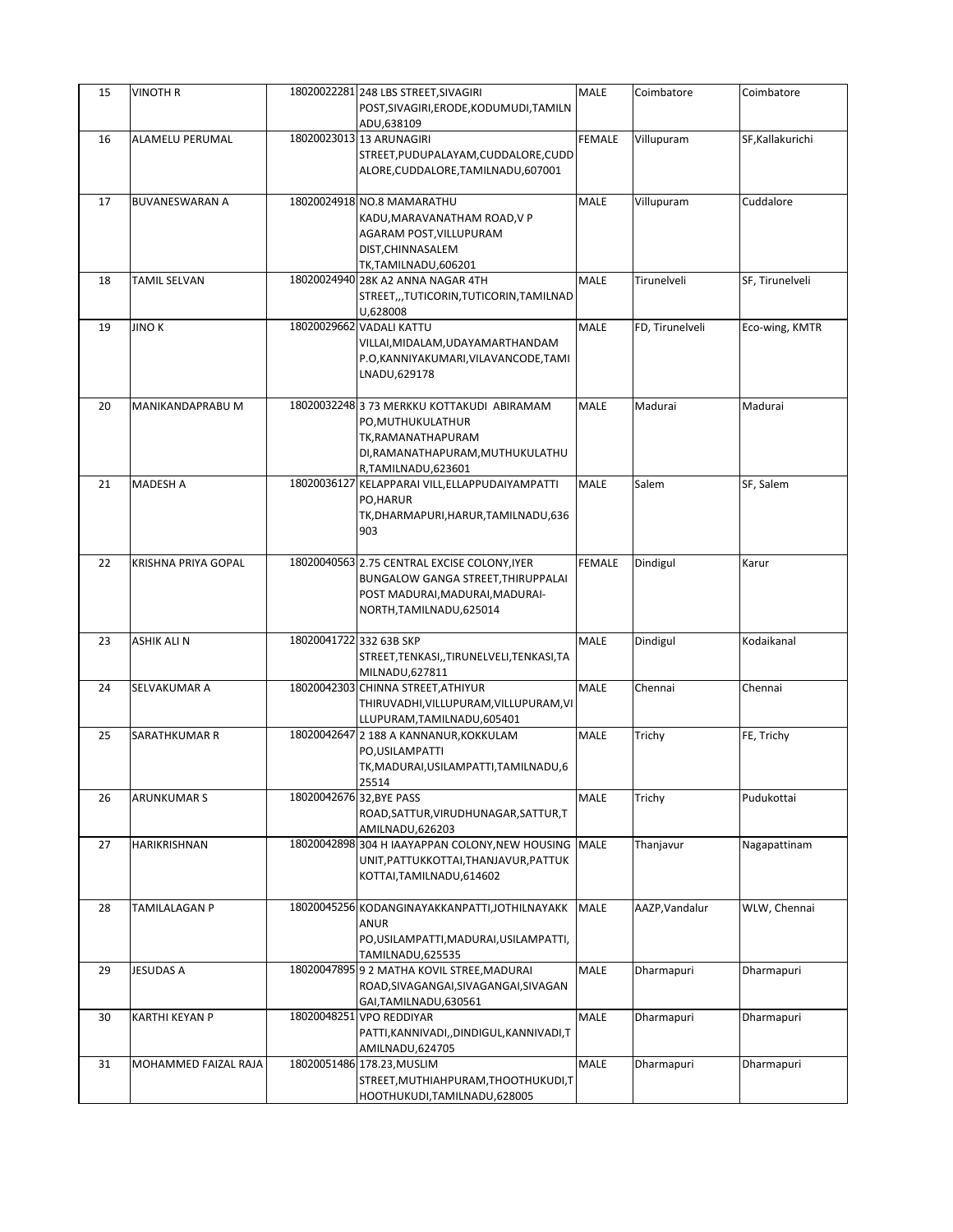| 15 | <b>VINOTH R</b>            |                          | 18020022281 248 LBS STREET, SIVAGIRI<br>POST, SIVAGIRI, ERODE, KODUMUDI, TAMILN                                                                          | MALE          | Coimbatore      | Coimbatore       |
|----|----------------------------|--------------------------|----------------------------------------------------------------------------------------------------------------------------------------------------------|---------------|-----------------|------------------|
|    |                            |                          | ADU,638109                                                                                                                                               |               |                 |                  |
| 16 | ALAMELU PERUMAL            |                          | 18020023013 13 ARUNAGIRI<br>STREET, PUDUPALAYAM, CUDDALORE, CUDD<br>ALORE, CUDDALORE, TAMILNADU, 607001                                                  | <b>FEMALE</b> | Villupuram      | SF, Kallakurichi |
| 17 | <b>BUVANESWARAN A</b>      |                          | 18020024918 NO.8 MAMARATHU<br>KADU, MARAVANATHAM ROAD, V P<br>AGARAM POST, VILLUPURAM<br>DIST, CHINNASALEM<br>TK,TAMILNADU,606201                        | <b>MALE</b>   | Villupuram      | Cuddalore        |
| 18 | TAMIL SELVAN               |                          | 18020024940 28K A2 ANNA NAGAR 4TH<br>STREET,,,TUTICORIN,TUTICORIN,TAMILNAD<br>U,628008                                                                   | MALE          | Tirunelveli     | SF, Tirunelveli  |
| 19 | <b>JINOK</b>               |                          | 18020029662 VADALI KATTU<br>VILLAI, MIDALAM, UDAYAMARTHANDAM<br>P.O,KANNIYAKUMARI,VILAVANCODE,TAMI<br>LNADU,629178                                       | <b>MALE</b>   | FD, Tirunelveli | Eco-wing, KMTR   |
| 20 | MANIKANDAPRABU M           |                          | 18020032248 3 73 MERKKU KOTTAKUDI ABIRAMAM<br>PO, MUTHUKULATHUR<br>TK, RAMANATHAPURAM<br>DI, RAMANATHAPURAM, MUTHUKULATHU<br>R,TAMILNADU,623601          | <b>MALE</b>   | Madurai         | Madurai          |
| 21 | MADESH A                   |                          | 18020036127 KELAPPARAI VILL, ELLAPPUDAIYAMPATTI<br>PO, HARUR<br>TK, DHARMAPURI, HARUR, TAMILNADU, 636<br>903                                             | MALE          | Salem           | SF, Salem        |
| 22 | <b>KRISHNA PRIYA GOPAL</b> |                          | 18020040563 2.75 CENTRAL EXCISE COLONY, IYER<br><b>BUNGALOW GANGA STREET, THIRUPPALAI</b><br>POST MADURAI, MADURAI, MADURAI-<br>NORTH, TAMILNADU, 625014 | <b>FEMALE</b> | Dindigul        | Karur            |
| 23 | ASHIK ALI N                | 18020041722 332 63B SKP  | STREET, TENKASI, , TIRUNELVELI, TENKASI, TA<br>MILNADU,627811                                                                                            | MALE          | Dindigul        | Kodaikanal       |
| 24 | SELVAKUMAR A               |                          | 18020042303 CHINNA STREET, ATHIYUR<br>THIRUVADHI, VILLUPURAM, VILLUPURAM, VI<br>LLUPURAM, TAMILNADU, 605401                                              | MALE          | Chennai         | Chennai          |
| 25 | SARATHKUMAR R              |                          | 18020042647 2 188 A KANNANUR, KOKKULAM<br>PO, USILAMPATTI<br>TK, MADURAI, USILAMPATTI, TAMILNADU, 6<br>25514                                             | MALE          | Trichy          | FE, Trichy       |
| 26 | <b>ARUNKUMAR S</b>         | 18020042676 32, BYE PASS | ROAD, SATTUR, VIRUDHUNAGAR, SATTUR, T<br>AMILNADU,626203                                                                                                 | MALE          | Trichy          | Pudukottai       |
| 27 | HARIKRISHNAN               |                          | 18020042898 304 H IAAYAPPAN COLONY, NEW HOUSING<br>UNIT, PATTUKKOTTAI, THANJAVUR, PATTUK<br>KOTTAI, TAMILNADU, 614602                                    | <b>MALE</b>   | Thanjavur       | Nagapattinam     |
| 28 | TAMILALAGAN P              |                          | 18020045256 KODANGINAYAKKANPATTI, JOTHILNAYAKK<br><b>ANUR</b><br>PO, USILAMPATTI, MADURAI, USILAMPATTI,<br>TAMILNADU,625535                              | MALE          | AAZP, Vandalur  | WLW, Chennai     |
| 29 | JESUDAS A                  |                          | 18020047895 9 2 MATHA KOVIL STREE, MADURAI<br>ROAD, SIVAGANGAI, SIVAGANGAI, SIVAGAN<br>GAI, TAMILNADU, 630561                                            | MALE          | Dharmapuri      | Dharmapuri       |
| 30 | KARTHI KEYAN P             |                          | 18020048251 VPO REDDIYAR<br>PATTI, KANNIVADI, , DINDIGUL, KANNIVADI, T<br>AMILNADU, 624705                                                               | <b>MALE</b>   | Dharmapuri      | Dharmapuri       |
| 31 | MOHAMMED FAIZAL RAJA       |                          | 18020051486 178.23, MUSLIM<br>STREET, MUTHIAHPURAM, THOOTHUKUDI, T<br>HOOTHUKUDI,TAMILNADU,628005                                                        | MALE          | Dharmapuri      | Dharmapuri       |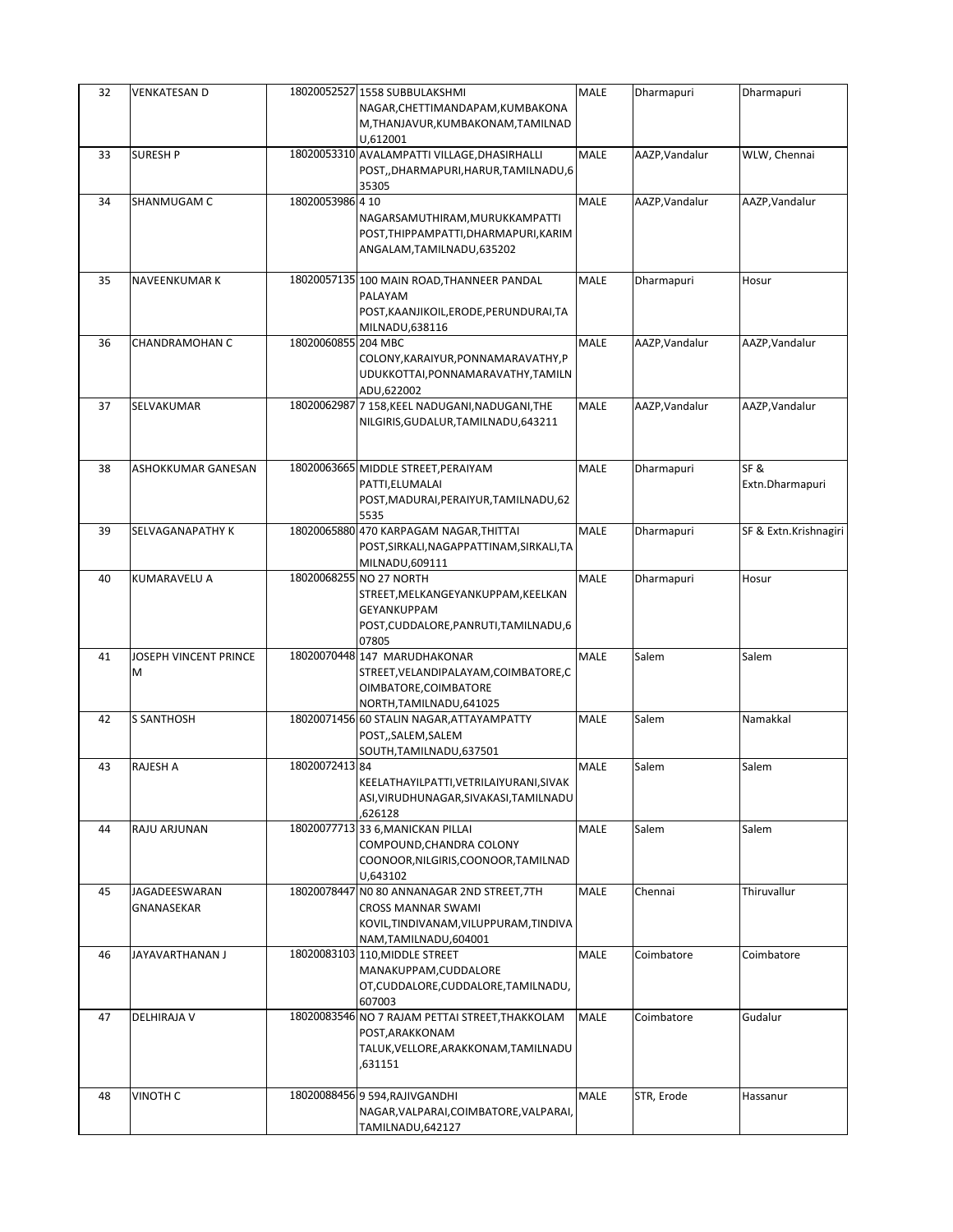| 32 | VENKATESAN D          |                     | 18020052527 1558 SUBBULAKSHMI                   | MALE        | Dharmapuri     | Dharmapuri            |
|----|-----------------------|---------------------|-------------------------------------------------|-------------|----------------|-----------------------|
|    |                       |                     | NAGAR, CHETTIMANDAPAM, KUMBAKONA                |             |                |                       |
|    |                       |                     | M,THANJAVUR,KUMBAKONAM,TAMILNAD                 |             |                |                       |
|    |                       |                     | U,612001                                        |             |                |                       |
| 33 | <b>SURESH P</b>       |                     | 18020053310 AVALAMPATTI VILLAGE, DHASIRHALLI    | <b>MALE</b> | AAZP, Vandalur | WLW, Chennai          |
|    |                       |                     | POST,,DHARMAPURI,HARUR,TAMILNADU,6              |             |                |                       |
|    |                       |                     | 35305                                           |             |                |                       |
| 34 | SHANMUGAM C           | 18020053986 4 10    |                                                 | MALE        | AAZP, Vandalur | AAZP, Vandalur        |
|    |                       |                     | NAGARSAMUTHIRAM, MURUKKAMPATTI                  |             |                |                       |
|    |                       |                     | POST, THIPPAMPATTI, DHARMAPURI, KARIM           |             |                |                       |
|    |                       |                     | ANGALAM, TAMILNADU, 635202                      |             |                |                       |
|    |                       |                     |                                                 |             |                |                       |
| 35 | NAVEENKUMAR K         |                     | 18020057135 100 MAIN ROAD, THANNEER PANDAL      | MALE        | Dharmapuri     | Hosur                 |
|    |                       |                     | PALAYAM                                         |             |                |                       |
|    |                       |                     | POST, KAANJIKOIL, ERODE, PERUNDURAI, TA         |             |                |                       |
|    |                       |                     | MILNADU,638116                                  |             |                |                       |
| 36 | CHANDRAMOHAN C        | 18020060855 204 MBC |                                                 | MALE        | AAZP, Vandalur | AAZP, Vandalur        |
|    |                       |                     | COLONY, KARAIYUR, PONNAMARAVATHY, P             |             |                |                       |
|    |                       |                     | UDUKKOTTAI, PONNAMARAVATHY, TAMILN              |             |                |                       |
|    |                       |                     | ADU,622002                                      |             |                |                       |
| 37 | SELVAKUMAR            |                     | 18020062987 7 158, KEEL NADUGANI, NADUGANI, THE | <b>MALE</b> | AAZP, Vandalur | AAZP, Vandalur        |
|    |                       |                     | NILGIRIS, GUDALUR, TAMILNADU, 643211            |             |                |                       |
|    |                       |                     |                                                 |             |                |                       |
|    |                       |                     |                                                 |             |                |                       |
| 38 | ASHOKKUMAR GANESAN    |                     | 18020063665 MIDDLE STREET, PERAIYAM             | MALE        | Dharmapuri     | SF&                   |
|    |                       |                     | PATTI, ELUMALAI                                 |             |                | Extn.Dharmapuri       |
|    |                       |                     | POST, MADURAI, PERAIYUR, TAMILNADU, 62          |             |                |                       |
|    |                       |                     | 5535                                            |             |                |                       |
| 39 | SELVAGANAPATHY K      |                     | 18020065880 470 KARPAGAM NAGAR, THITTAI         | MALE        | Dharmapuri     | SF & Extn.Krishnagiri |
|    |                       |                     | POST, SIRKALI, NAGAPPATTINAM, SIRKALI, TA       |             |                |                       |
|    |                       |                     | MILNADU,609111                                  |             |                |                       |
| 40 | <b>KUMARAVELU A</b>   |                     | 18020068255 NO 27 NORTH                         | MALE        | Dharmapuri     | Hosur                 |
|    |                       |                     | STREET, MELKANGEYANKUPPAM, KEELKAN              |             |                |                       |
|    |                       |                     | GEYANKUPPAM                                     |             |                |                       |
|    |                       |                     | POST, CUDDALORE, PANRUTI, TAMILNADU, 6          |             |                |                       |
|    |                       |                     | 07805                                           |             |                |                       |
| 41 | JOSEPH VINCENT PRINCE |                     | 18020070448 147 MARUDHAKONAR                    | <b>MALE</b> | Salem          | Salem                 |
|    | M                     |                     | STREET, VELANDIPALAYAM, COIMBATORE, C           |             |                |                       |
|    |                       |                     | OIMBATORE, COIMBATORE                           |             |                |                       |
|    |                       |                     | NORTH, TAMILNADU, 641025                        |             |                |                       |
| 42 | <b>S SANTHOSH</b>     |                     | 18020071456 60 STALIN NAGAR, ATTAYAMPATTY       | MALE        | Salem          | Namakkal              |
|    |                       |                     | POST,,SALEM,SALEM                               |             |                |                       |
|    |                       |                     | SOUTH, TAMILNADU, 637501                        |             |                |                       |
| 43 | <b>RAJESH A</b>       | 18020072413 84      |                                                 | MALE        | Salem          | Salem                 |
|    |                       |                     | KEELATHAYILPATTI, VETRILAIYURANI, SIVAK         |             |                |                       |
|    |                       |                     | ASI, VIRUDHUNAGAR, SIVAKASI, TAMILNADU          |             |                |                       |
|    |                       |                     | .626128                                         |             |                |                       |
| 44 | RAJU ARJUNAN          |                     | 18020077713 33 6, MANICKAN PILLAI               | MALE        | Salem          | Salem                 |
|    |                       |                     | COMPOUND, CHANDRA COLONY                        |             |                |                       |
|    |                       |                     | COONOOR, NILGIRIS, COONOOR, TAMILNAD            |             |                |                       |
|    |                       |                     | U,643102                                        |             |                |                       |
| 45 | JAGADEESWARAN         |                     | 18020078447 NO 80 ANNANAGAR 2ND STREET, 7TH     | MALE        | Chennai        | Thiruvallur           |
|    | GNANASEKAR            |                     | <b>CROSS MANNAR SWAMI</b>                       |             |                |                       |
|    |                       |                     | KOVIL, TINDIVANAM, VILUPPURAM, TINDIVA          |             |                |                       |
|    |                       |                     | NAM,TAMILNADU,604001                            |             |                |                       |
| 46 | JAYAVARTHANAN J       |                     | 18020083103 110, MIDDLE STREET                  | MALE        | Coimbatore     | Coimbatore            |
|    |                       |                     | MANAKUPPAM, CUDDALORE                           |             |                |                       |
|    |                       |                     | OT, CUDDALORE, CUDDALORE, TAMILNADU,            |             |                |                       |
|    |                       |                     | 607003                                          |             |                |                       |
| 47 | DELHIRAJA V           |                     | 18020083546 NO 7 RAJAM PETTAI STREET, THAKKOLAM | MALE        | Coimbatore     | Gudalur               |
|    |                       |                     | POST, ARAKKONAM                                 |             |                |                       |
|    |                       |                     | TALUK, VELLORE, ARAKKONAM, TAMILNADU            |             |                |                       |
|    |                       |                     | ,631151                                         |             |                |                       |
|    |                       |                     |                                                 |             |                |                       |
| 48 | <b>VINOTH C</b>       |                     | 18020088456 9 594, RAJIVGANDHI                  | MALE        | STR, Erode     | Hassanur              |
|    |                       |                     | NAGAR, VALPARAI, COIMBATORE, VALPARAI,          |             |                |                       |
|    |                       |                     | TAMILNADU, 642127                               |             |                |                       |